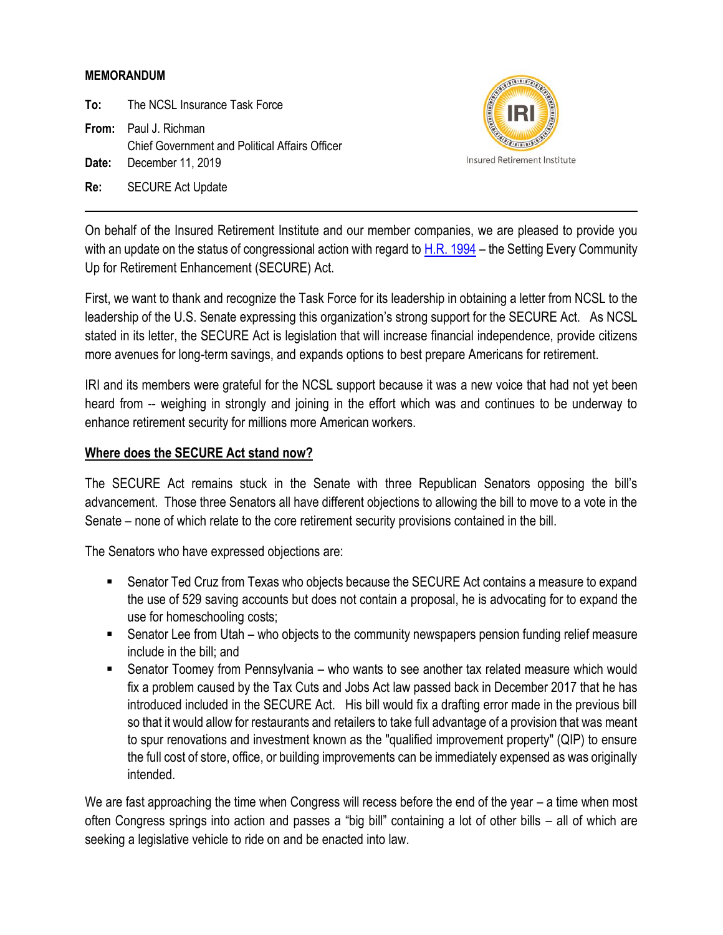## **MEMORANDUM**

**To:** The NCSL Insurance Task Force

**From:** Paul J. Richman Chief Government and Political Affairs Officer **Date:** December 11, 2019

**Re:** SECURE Act Update



On behalf of the Insured Retirement Institute and our member companies, we are pleased to provide you with an update on the status of congressional action with regard to [H.R. 1994](https://www.congress.gov/116/bills/hr1994/BILLS-116hr1994rds.pdf) – the Setting Every Community Up for Retirement Enhancement (SECURE) Act.

First, we want to thank and recognize the Task Force for its leadership in obtaining a letter from NCSL to the leadership of the U.S. Senate expressing this organization's strong support for the SECURE Act. As NCSL stated in its letter, the SECURE Act is legislation that will increase financial independence, provide citizens more avenues for long-term savings, and expands options to best prepare Americans for retirement.

IRI and its members were grateful for the NCSL support because it was a new voice that had not yet been heard from -- weighing in strongly and joining in the effort which was and continues to be underway to enhance retirement security for millions more American workers.

## **Where does the SECURE Act stand now?**

The SECURE Act remains stuck in the Senate with three Republican Senators opposing the bill's advancement. Those three Senators all have different objections to allowing the bill to move to a vote in the Senate – none of which relate to the core retirement security provisions contained in the bill.

The Senators who have expressed objections are:

- Senator Ted Cruz from Texas who objects because the SECURE Act contains a measure to expand the use of 529 saving accounts but does not contain a proposal, he is advocating for to expand the use for homeschooling costs;
- Senator Lee from Utah who objects to the community newspapers pension funding relief measure include in the bill; and
- Senator Toomey from Pennsylvania who wants to see another tax related measure which would fix a problem caused by the Tax Cuts and Jobs Act law passed back in December 2017 that he has introduced included in the SECURE Act. His bill would fix a drafting error made in the previous bill so that it would allow for restaurants and retailers to take full advantage of a provision that was meant to spur renovations and investment known as the "qualified improvement property" (QIP) to ensure the full cost of store, office, or building improvements can be immediately expensed as was originally intended.

We are fast approaching the time when Congress will recess before the end of the year – a time when most often Congress springs into action and passes a "big bill" containing a lot of other bills – all of which are seeking a legislative vehicle to ride on and be enacted into law.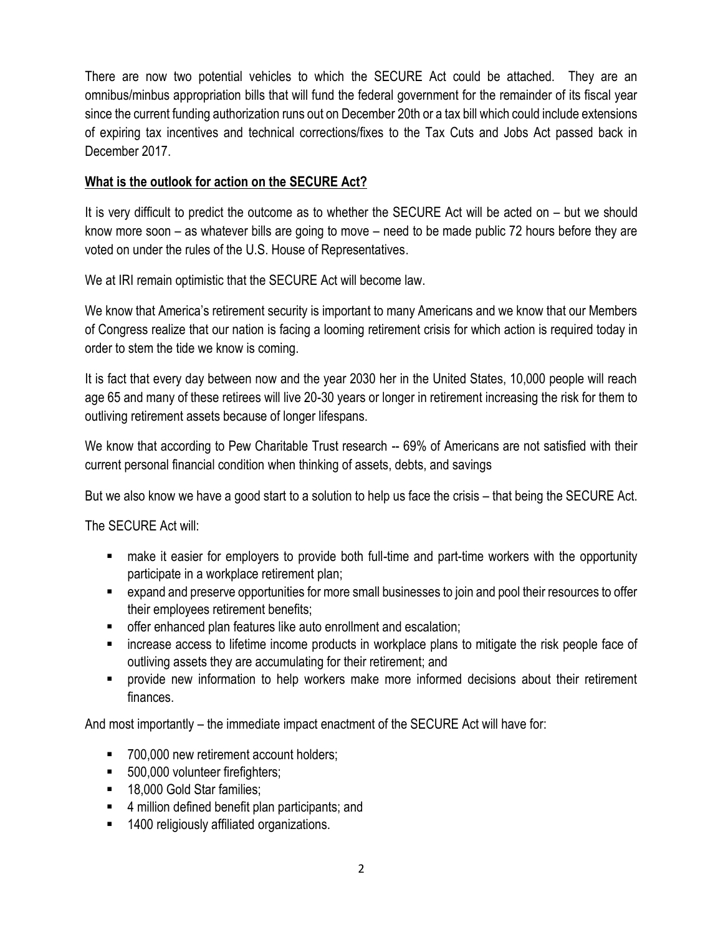There are now two potential vehicles to which the SECURE Act could be attached. They are an omnibus/minbus appropriation bills that will fund the federal government for the remainder of its fiscal year since the current funding authorization runs out on December 20th or a tax bill which could include extensions of expiring tax incentives and technical corrections/fixes to the Tax Cuts and Jobs Act passed back in December 2017.

## **What is the outlook for action on the SECURE Act?**

It is very difficult to predict the outcome as to whether the SECURE Act will be acted on – but we should know more soon – as whatever bills are going to move – need to be made public 72 hours before they are voted on under the rules of the U.S. House of Representatives.

We at IRI remain optimistic that the SECURE Act will become law.

We know that America's retirement security is important to many Americans and we know that our Members of Congress realize that our nation is facing a looming retirement crisis for which action is required today in order to stem the tide we know is coming.

It is fact that every day between now and the year 2030 her in the United States, 10,000 people will reach age 65 and many of these retirees will live 20-30 years or longer in retirement increasing the risk for them to outliving retirement assets because of longer lifespans.

We know that according to Pew Charitable Trust research -- 69% of Americans are not satisfied with their current personal financial condition when thinking of assets, debts, and savings

But we also know we have a good start to a solution to help us face the crisis – that being the SECURE Act.

The SECURE Act will:

- make it easier for employers to provide both full-time and part-time workers with the opportunity participate in a workplace retirement plan;
- expand and preserve opportunities for more small businesses to join and pool their resources to offer their employees retirement benefits;
- **E** offer enhanced plan features like auto enrollment and escalation;
- increase access to lifetime income products in workplace plans to mitigate the risk people face of outliving assets they are accumulating for their retirement; and
- **•** provide new information to help workers make more informed decisions about their retirement finances.

And most importantly – the immediate impact enactment of the SECURE Act will have for:

- 700,000 new retirement account holders;
- 500,000 volunteer firefighters;
- 18,000 Gold Star families;
- 4 million defined benefit plan participants; and
- 1400 religiously affiliated organizations.